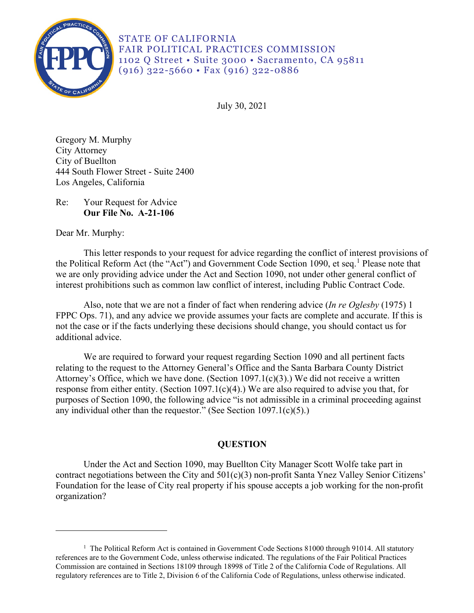

STATE OF CALIFORNIA FAIR POLITICAL PRACTICES COMMISSION 1102 Q Street • Suite 3000 • Sacramento, CA 95811 (916) 322-5660 • Fax (916) 322-0886

July 30, 2021

Gregory M. Murphy City Attorney City of Buellton 444 South Flower Street - Suite 2400 Los Angeles, California

Re: Your Request for Advice **Our File No. A-21-106** 

Dear Mr. Murphy:

This letter responds to your request for advice regarding the conflict of interest provisions of the Political Reform Act (the "Act") and Government Code Section [1](#page-0-0)090, et seq.<sup>1</sup> Please note that we are only providing advice under the Act and Section 1090, not under other general conflict of interest prohibitions such as common law conflict of interest, including Public Contract Code.

 FPPC Ops. 71), and any advice we provide assumes your facts are complete and accurate. If this is Also, note that we are not a finder of fact when rendering advice (*In re Oglesby* (1975) 1 not the case or if the facts underlying these decisions should change, you should contact us for additional advice.

We are required to forward your request regarding Section 1090 and all pertinent facts relating to the request to the Attorney General's Office and the Santa Barbara County District Attorney's Office, which we have done. (Section 1097.1(c)(3).) We did not receive a written response from either entity. (Section 1097.1(c)(4).) We are also required to advise you that, for purposes of Section 1090, the following advice "is not admissible in a criminal proceeding against any individual other than the requestor." (See Section 1097.1(c)(5).)

# **QUESTION**

Under the Act and Section 1090, may Buellton City Manager Scott Wolfe take part in contract negotiations between the City and 501(c)(3) non-profit Santa Ynez Valley Senior Citizens' Foundation for the lease of City real property if his spouse accepts a job working for the non-profit organization?

<span id="page-0-0"></span><sup>&</sup>lt;sup>1</sup> The Political Reform Act is contained in Government Code Sections 81000 through 91014. All statutory references are to the Government Code, unless otherwise indicated. The regulations of the Fair Political Practices Commission are contained in Sections 18109 through 18998 of Title 2 of the California Code of Regulations. All regulatory references are to Title 2, Division 6 of the California Code of Regulations, unless otherwise indicated.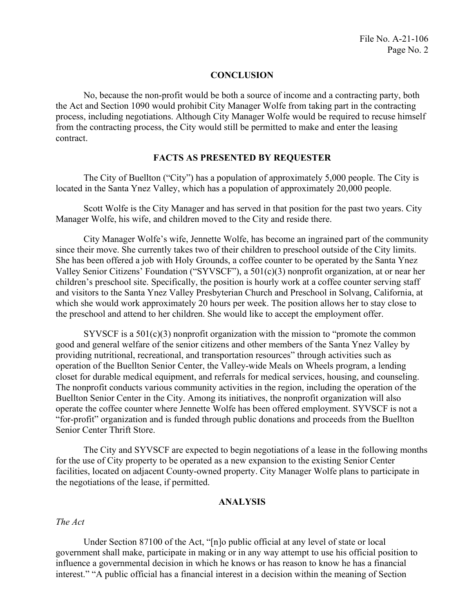## **CONCLUSION**

No, because the non-profit would be both a source of income and a contracting party, both the Act and Section 1090 would prohibit City Manager Wolfe from taking part in the contracting process, including negotiations. Although City Manager Wolfe would be required to recuse himself from the contracting process, the City would still be permitted to make and enter the leasing contract.

#### **FACTS AS PRESENTED BY REQUESTER**

The City of Buellton ("City") has a population of approximately 5,000 people. The City is located in the Santa Ynez Valley, which has a population of approximately 20,000 people.

Scott Wolfe is the City Manager and has served in that position for the past two years. City Manager Wolfe, his wife, and children moved to the City and reside there.

City Manager Wolfe's wife, Jennette Wolfe, has become an ingrained part of the community since their move. She currently takes two of their children to preschool outside of the City limits. She has been offered a job with Holy Grounds, a coffee counter to be operated by the Santa Ynez Valley Senior Citizens' Foundation ("SYVSCF"), a 501(c)(3) nonprofit organization, at or near her children's preschool site. Specifically, the position is hourly work at a coffee counter serving staff and visitors to the Santa Ynez Valley Presbyterian Church and Preschool in Solvang, California, at which she would work approximately 20 hours per week. The position allows her to stay close to the preschool and attend to her children. She would like to accept the employment offer.

SYVSCF is a 501(c)(3) nonprofit organization with the mission to "promote the common good and general welfare of the senior citizens and other members of the Santa Ynez Valley by providing nutritional, recreational, and transportation resources" through activities such as operation of the Buellton Senior Center, the Valley-wide Meals on Wheels program, a lending closet for durable medical equipment, and referrals for medical services, housing, and counseling. The nonprofit conducts various community activities in the region, including the operation of the Buellton Senior Center in the City. Among its initiatives, the nonprofit organization will also operate the coffee counter where Jennette Wolfe has been offered employment. SYVSCF is not a "for-profit" organization and is funded through public donations and proceeds from the Buellton Senior Center Thrift Store.

The City and SYVSCF are expected to begin negotiations of a lease in the following months for the use of City property to be operated as a new expansion to the existing Senior Center facilities, located on adjacent County-owned property. City Manager Wolfe plans to participate in the negotiations of the lease, if permitted.

#### **ANALYSIS**

### *The Act*

 influence a governmental decision in which he knows or has reason to know he has a financial Under Section 87100 of the Act, "[n]o public official at any level of state or local government shall make, participate in making or in any way attempt to use his official position to interest." "A public official has a financial interest in a decision within the meaning of Section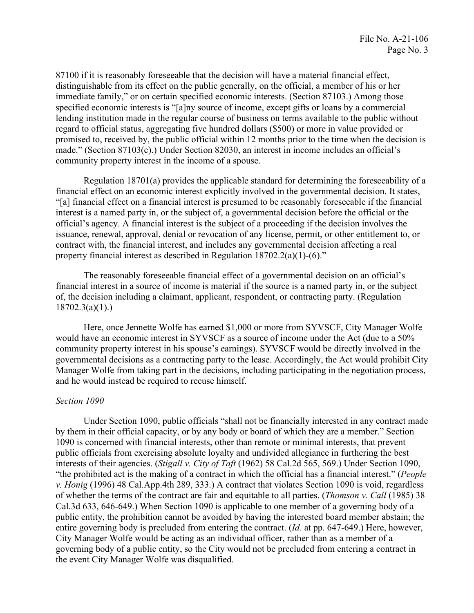87100 if it is reasonably foreseeable that the decision will have a material financial effect, distinguishable from its effect on the public generally, on the official, a member of his or her immediate family," or on certain specified economic interests. (Section 87103.) Among those specified economic interests is "[a]ny source of income, except gifts or loans by a commercial lending institution made in the regular course of business on terms available to the public without regard to official status, aggregating five hundred dollars (\$500) or more in value provided or promised to, received by, the public official within 12 months prior to the time when the decision is made." (Section 87103(c).) Under Section 82030, an interest in income includes an official's community property interest in the income of a spouse.

Regulation 18701(a) provides the applicable standard for determining the foreseeability of a financial effect on an economic interest explicitly involved in the governmental decision. It states, "[a] financial effect on a financial interest is presumed to be reasonably foreseeable if the financial interest is a named party in, or the subject of, a governmental decision before the official or the official's agency. A financial interest is the subject of a proceeding if the decision involves the issuance, renewal, approval, denial or revocation of any license, permit, or other entitlement to, or contract with, the financial interest, and includes any governmental decision affecting a real property financial interest as described in Regulation 18702.2(a)(1)-(6)."

The reasonably foreseeable financial effect of a governmental decision on an official's financial interest in a source of income is material if the source is a named party in, or the subject of, the decision including a claimant, applicant, respondent, or contracting party. (Regulation 18702.3(a)(1).)

 Here, once Jennette Wolfe has earned \$1,000 or more from SYVSCF, City Manager Wolfe Manager Wolfe from taking part in the decisions, including participating in the negotiation process, would have an economic interest in SYVSCF as a source of income under the Act (due to a 50% community property interest in his spouse's earnings). SYVSCF would be directly involved in the governmental decisions as a contracting party to the lease. Accordingly, the Act would prohibit City and he would instead be required to recuse himself.

## *Section 1090*

 public entity, the prohibition cannot be avoided by having the interested board member abstain; the City Manager Wolfe would be acting as an individual officer, rather than as a member of a Under Section 1090, public officials "shall not be financially interested in any contract made by them in their official capacity, or by any body or board of which they are a member." Section 1090 is concerned with financial interests, other than remote or minimal interests, that prevent public officials from exercising absolute loyalty and undivided allegiance in furthering the best interests of their agencies. (*Stigall v. City of Taft* (1962) 58 Cal.2d 565, 569.) Under Section 1090, "the prohibited act is the making of a contract in which the official has a financial interest." (*People v. Honig* (1996) 48 Cal.App.4th 289, 333.) A contract that violates Section 1090 is void, regardless of whether the terms of the contract are fair and equitable to all parties. (*Thomson v. Call* (1985) 38 Cal.3d 633, 646-649.) When Section 1090 is applicable to one member of a governing body of a entire governing body is precluded from entering the contract. (*Id.* at pp. 647-649.) Here, however, governing body of a public entity, so the City would not be precluded from entering a contract in the event City Manager Wolfe was disqualified.